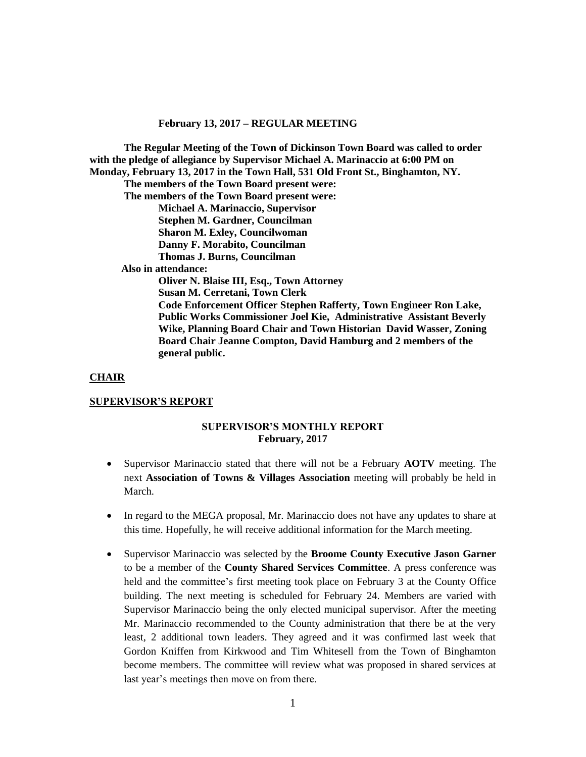**The Regular Meeting of the Town of Dickinson Town Board was called to order with the pledge of allegiance by Supervisor Michael A. Marinaccio at 6:00 PM on Monday, February 13, 2017 in the Town Hall, 531 Old Front St., Binghamton, NY. The members of the Town Board present were: The members of the Town Board present were: Michael A. Marinaccio, Supervisor Stephen M. Gardner, Councilman Sharon M. Exley, Councilwoman Danny F. Morabito, Councilman Thomas J. Burns, Councilman Also in attendance: Oliver N. Blaise III, Esq., Town Attorney Susan M. Cerretani, Town Clerk Code Enforcement Officer Stephen Rafferty, Town Engineer Ron Lake, Public Works Commissioner Joel Kie, Administrative Assistant Beverly Wike, Planning Board Chair and Town Historian David Wasser, Zoning Board Chair Jeanne Compton, David Hamburg and 2 members of the** 

#### **CHAIR**

#### **SUPERVISOR'S REPORT**

**general public.**

#### **SUPERVISOR'S MONTHLY REPORT February, 2017**

- Supervisor Marinaccio stated that there will not be a February **AOTV** meeting. The next **Association of Towns & Villages Association** meeting will probably be held in March.
- In regard to the MEGA proposal, Mr. Marinaccio does not have any updates to share at this time. Hopefully, he will receive additional information for the March meeting.
- Supervisor Marinaccio was selected by the **Broome County Executive Jason Garner** to be a member of the **County Shared Services Committee**. A press conference was held and the committee's first meeting took place on February 3 at the County Office building. The next meeting is scheduled for February 24. Members are varied with Supervisor Marinaccio being the only elected municipal supervisor. After the meeting Mr. Marinaccio recommended to the County administration that there be at the very least, 2 additional town leaders. They agreed and it was confirmed last week that Gordon Kniffen from Kirkwood and Tim Whitesell from the Town of Binghamton become members. The committee will review what was proposed in shared services at last year's meetings then move on from there.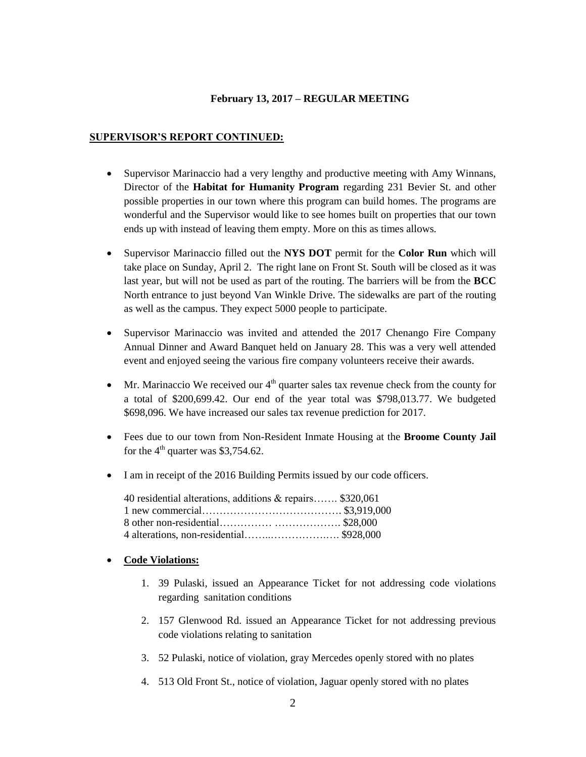# **SUPERVISOR'S REPORT CONTINUED:**

- Supervisor Marinaccio had a very lengthy and productive meeting with Amy Winnans, Director of the **Habitat for Humanity Program** regarding 231 Bevier St. and other possible properties in our town where this program can build homes. The programs are wonderful and the Supervisor would like to see homes built on properties that our town ends up with instead of leaving them empty. More on this as times allows.
- Supervisor Marinaccio filled out the **NYS DOT** permit for the **Color Run** which will take place on Sunday, April 2. The right lane on Front St. South will be closed as it was last year, but will not be used as part of the routing. The barriers will be from the **BCC** North entrance to just beyond Van Winkle Drive. The sidewalks are part of the routing as well as the campus. They expect 5000 people to participate.
- Supervisor Marinaccio was invited and attended the 2017 Chenango Fire Company Annual Dinner and Award Banquet held on January 28. This was a very well attended event and enjoyed seeing the various fire company volunteers receive their awards.
- $\bullet$  Mr. Marinaccio We received our  $4<sup>th</sup>$  quarter sales tax revenue check from the county for a total of \$200,699.42. Our end of the year total was \$798,013.77. We budgeted \$698,096. We have increased our sales tax revenue prediction for 2017.
- Fees due to our town from Non-Resident Inmate Housing at the **Broome County Jail** for the  $4<sup>th</sup>$  quarter was \$3,754.62.
- I am in receipt of the 2016 Building Permits issued by our code officers.

| 40 residential alterations, additions & repairs \$320,061 |  |
|-----------------------------------------------------------|--|
|                                                           |  |
|                                                           |  |
|                                                           |  |

## **Code Violations:**

- 1. 39 Pulaski, issued an Appearance Ticket for not addressing code violations regarding sanitation conditions
- 2. 157 Glenwood Rd. issued an Appearance Ticket for not addressing previous code violations relating to sanitation
- 3. 52 Pulaski, notice of violation, gray Mercedes openly stored with no plates
- 4. 513 Old Front St., notice of violation, Jaguar openly stored with no plates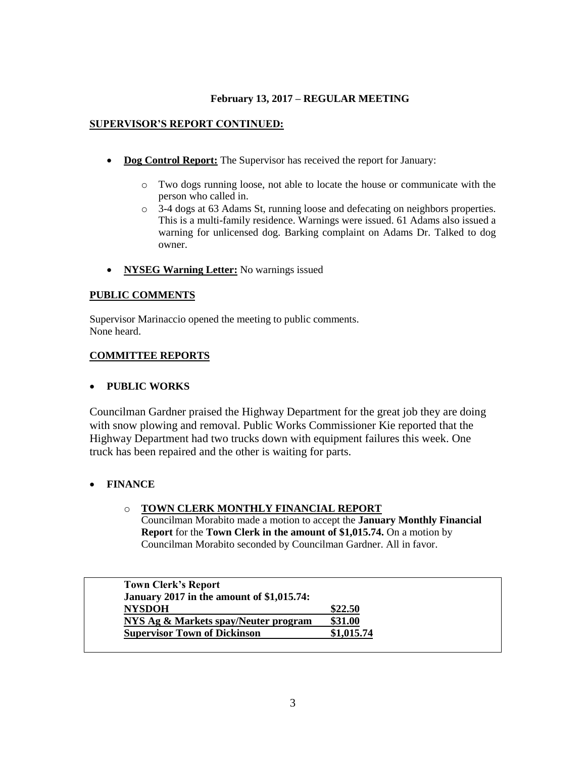# **SUPERVISOR'S REPORT CONTINUED:**

- **Dog Control Report:** The Supervisor has received the report for January:
	- o Two dogs running loose, not able to locate the house or communicate with the person who called in.
	- o 3-4 dogs at 63 Adams St, running loose and defecating on neighbors properties. This is a multi-family residence. Warnings were issued. 61 Adams also issued a warning for unlicensed dog. Barking complaint on Adams Dr. Talked to dog owner.
- **•** NYSEG Warning Letter: No warnings issued

## **PUBLIC COMMENTS**

Supervisor Marinaccio opened the meeting to public comments. None heard.

# **COMMITTEE REPORTS**

## **PUBLIC WORKS**

Councilman Gardner praised the Highway Department for the great job they are doing with snow plowing and removal. Public Works Commissioner Kie reported that the Highway Department had two trucks down with equipment failures this week. One truck has been repaired and the other is waiting for parts.

# **FINANCE**

## o **TOWN CLERK MONTHLY FINANCIAL REPORT**

Councilman Morabito made a motion to accept the **January Monthly Financial Report** for the **Town Clerk in the amount of \$1,015.74.** On a motion by Councilman Morabito seconded by Councilman Gardner. All in favor.

| <b>Town Clerk's Report</b>                       |            |
|--------------------------------------------------|------------|
| <b>January 2017 in the amount of \$1,015.74:</b> |            |
| <b>NYSDOH</b>                                    | \$22.50    |
| NYS Ag & Markets spay/Neuter program             | \$31.00    |
| <b>Supervisor Town of Dickinson</b>              | \$1,015.74 |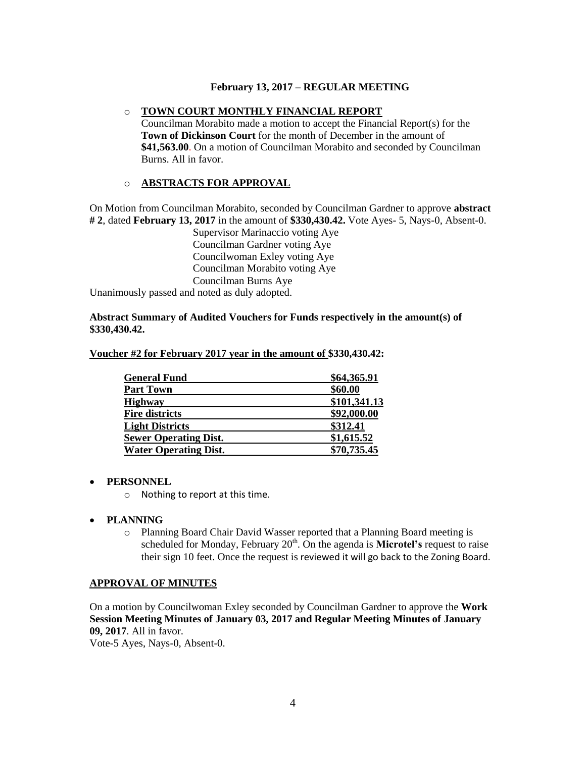#### o **TOWN COURT MONTHLY FINANCIAL REPORT**

Councilman Morabito made a motion to accept the Financial Report(s) for the **Town of Dickinson Court** for the month of December in the amount of **\$41,563.00**. On a motion of Councilman Morabito and seconded by Councilman Burns. All in favor.

#### o **ABSTRACTS FOR APPROVAL**

On Motion from Councilman Morabito, seconded by Councilman Gardner to approve **abstract # 2**, dated **February 13, 2017** in the amount of **\$330,430.42.** Vote Ayes- 5, Nays-0, Absent-0.

Supervisor Marinaccio voting Aye Councilman Gardner voting Aye Councilwoman Exley voting Aye Councilman Morabito voting Aye Councilman Burns Aye Unanimously passed and noted as duly adopted.

**Abstract Summary of Audited Vouchers for Funds respectively in the amount(s) of \$330,430.42.**

| <b>General Fund</b>          | \$64,365.91  |
|------------------------------|--------------|
| <b>Part Town</b>             | \$60.00      |
| <b>Highway</b>               | \$101,341.13 |
| <b>Fire districts</b>        | \$92,000.00  |
| <b>Light Districts</b>       | \$312.41     |
| <b>Sewer Operating Dist.</b> | \$1,615.52   |
| <b>Water Operating Dist.</b> | \$70,735.45  |

**Voucher #2 for February 2017 year in the amount of \$330,430.42:** 

#### **PERSONNEL**

- o Nothing to report at this time.
- **PLANNING**
	- o Planning Board Chair David Wasser reported that a Planning Board meeting is scheduled for Monday, February  $20<sup>th</sup>$ . On the agenda is **Microtel's** request to raise their sign 10 feet. Once the request is reviewed it will go back to the Zoning Board.

#### **APPROVAL OF MINUTES**

On a motion by Councilwoman Exley seconded by Councilman Gardner to approve the **Work Session Meeting Minutes of January 03, 2017 and Regular Meeting Minutes of January 09, 2017**. All in favor.

Vote-5 Ayes, Nays-0, Absent-0.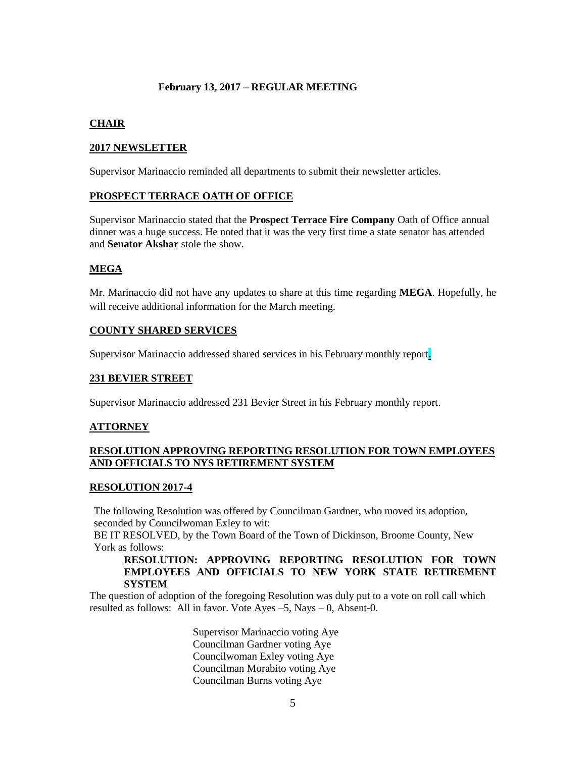# **CHAIR**

## **2017 NEWSLETTER**

Supervisor Marinaccio reminded all departments to submit their newsletter articles.

#### **PROSPECT TERRACE OATH OF OFFICE**

Supervisor Marinaccio stated that the **Prospect Terrace Fire Company** Oath of Office annual dinner was a huge success. He noted that it was the very first time a state senator has attended and **Senator Akshar** stole the show.

## **MEGA**

Mr. Marinaccio did not have any updates to share at this time regarding **MEGA**. Hopefully, he will receive additional information for the March meeting.

## **COUNTY SHARED SERVICES**

Supervisor Marinaccio addressed shared services in his February monthly report**.** 

## **231 BEVIER STREET**

Supervisor Marinaccio addressed 231 Bevier Street in his February monthly report.

## **ATTORNEY**

## **RESOLUTION APPROVING REPORTING RESOLUTION FOR TOWN EMPLOYEES AND OFFICIALS TO NYS RETIREMENT SYSTEM**

#### **RESOLUTION 2017-4**

The following Resolution was offered by Councilman Gardner, who moved its adoption, seconded by Councilwoman Exley to wit:

BE IT RESOLVED, by the Town Board of the Town of Dickinson, Broome County, New York as follows:

#### **RESOLUTION: APPROVING REPORTING RESOLUTION FOR TOWN EMPLOYEES AND OFFICIALS TO NEW YORK STATE RETIREMENT SYSTEM**

The question of adoption of the foregoing Resolution was duly put to a vote on roll call which resulted as follows: All in favor. Vote Ayes –5, Nays – 0, Absent-0.

> Supervisor Marinaccio voting Aye Councilman Gardner voting Aye Councilwoman Exley voting Aye Councilman Morabito voting Aye Councilman Burns voting Aye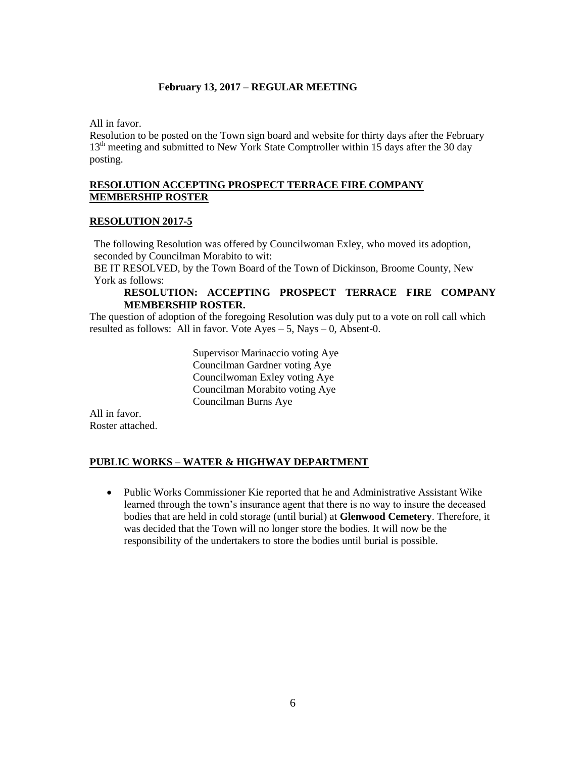All in favor.

Resolution to be posted on the Town sign board and website for thirty days after the February 13<sup>th</sup> meeting and submitted to New York State Comptroller within 15 days after the 30 day posting.

## **RESOLUTION ACCEPTING PROSPECT TERRACE FIRE COMPANY MEMBERSHIP ROSTER**

# **RESOLUTION 2017-5**

The following Resolution was offered by Councilwoman Exley, who moved its adoption, seconded by Councilman Morabito to wit:

BE IT RESOLVED, by the Town Board of the Town of Dickinson, Broome County, New York as follows:

# **RESOLUTION: ACCEPTING PROSPECT TERRACE FIRE COMPANY MEMBERSHIP ROSTER.**

The question of adoption of the foregoing Resolution was duly put to a vote on roll call which resulted as follows: All in favor. Vote  $Ayes - 5$ , Nays  $- 0$ , Absent-0.

> Supervisor Marinaccio voting Aye Councilman Gardner voting Aye Councilwoman Exley voting Aye Councilman Morabito voting Aye Councilman Burns Aye

All in favor. Roster attached.

# **PUBLIC WORKS – WATER & HIGHWAY DEPARTMENT**

 Public Works Commissioner Kie reported that he and Administrative Assistant Wike learned through the town's insurance agent that there is no way to insure the deceased bodies that are held in cold storage (until burial) at **Glenwood Cemetery**. Therefore, it was decided that the Town will no longer store the bodies. It will now be the responsibility of the undertakers to store the bodies until burial is possible.